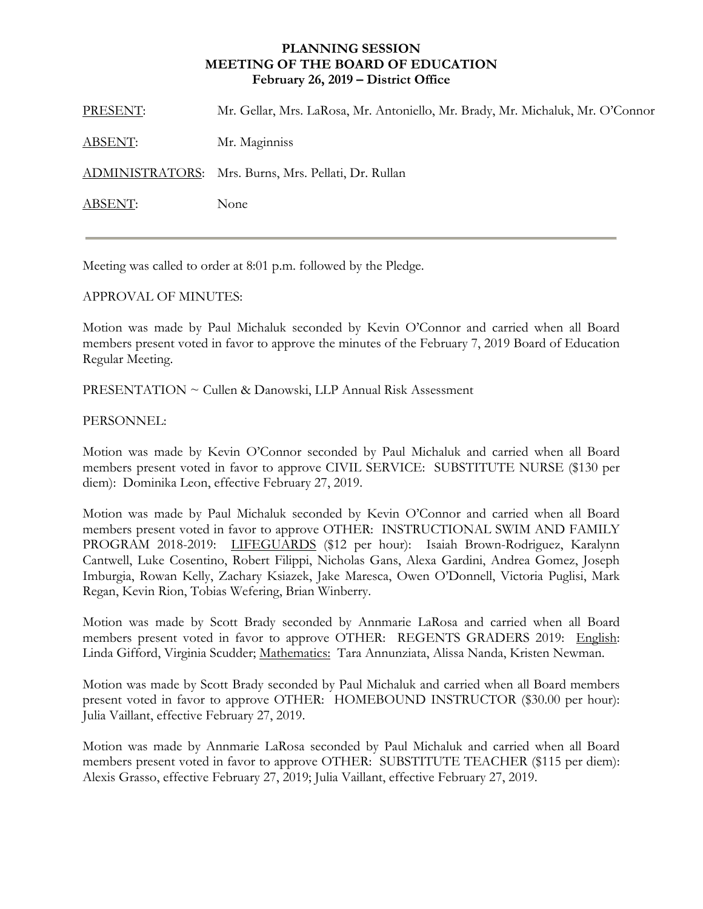## **PLANNING SESSION MEETING OF THE BOARD OF EDUCATION February 26, 2019 – District Office**

PRESENT: Mr. Gellar, Mrs. LaRosa, Mr. Antoniello, Mr. Brady, Mr. Michaluk, Mr. O'Connor ABSENT: Mr. Maginniss ADMINISTRATORS: Mrs. Burns, Mrs. Pellati, Dr. Rullan ABSENT: None

Meeting was called to order at 8:01 p.m. followed by the Pledge.

## APPROVAL OF MINUTES:

Motion was made by Paul Michaluk seconded by Kevin O'Connor and carried when all Board members present voted in favor to approve the minutes of the February 7, 2019 Board of Education Regular Meeting.

PRESENTATION ~ Cullen & Danowski, LLP Annual Risk Assessment

## PERSONNEL:

Motion was made by Kevin O'Connor seconded by Paul Michaluk and carried when all Board members present voted in favor to approve CIVIL SERVICE: SUBSTITUTE NURSE (\$130 per diem): Dominika Leon, effective February 27, 2019.

Motion was made by Paul Michaluk seconded by Kevin O'Connor and carried when all Board members present voted in favor to approve OTHER: INSTRUCTIONAL SWIM AND FAMILY PROGRAM 2018-2019: LIFEGUARDS (\$12 per hour): Isaiah Brown-Rodriguez, Karalynn Cantwell, Luke Cosentino, Robert Filippi, Nicholas Gans, Alexa Gardini, Andrea Gomez, Joseph Imburgia, Rowan Kelly, Zachary Ksiazek, Jake Maresca, Owen O'Donnell, Victoria Puglisi, Mark Regan, Kevin Rion, Tobias Wefering, Brian Winberry.

Motion was made by Scott Brady seconded by Annmarie LaRosa and carried when all Board members present voted in favor to approve OTHER: REGENTS GRADERS 2019: English: Linda Gifford, Virginia Scudder; Mathematics: Tara Annunziata, Alissa Nanda, Kristen Newman.

Motion was made by Scott Brady seconded by Paul Michaluk and carried when all Board members present voted in favor to approve OTHER: HOMEBOUND INSTRUCTOR (\$30.00 per hour): Julia Vaillant, effective February 27, 2019.

Motion was made by Annmarie LaRosa seconded by Paul Michaluk and carried when all Board members present voted in favor to approve OTHER: SUBSTITUTE TEACHER (\$115 per diem): Alexis Grasso, effective February 27, 2019; Julia Vaillant, effective February 27, 2019.